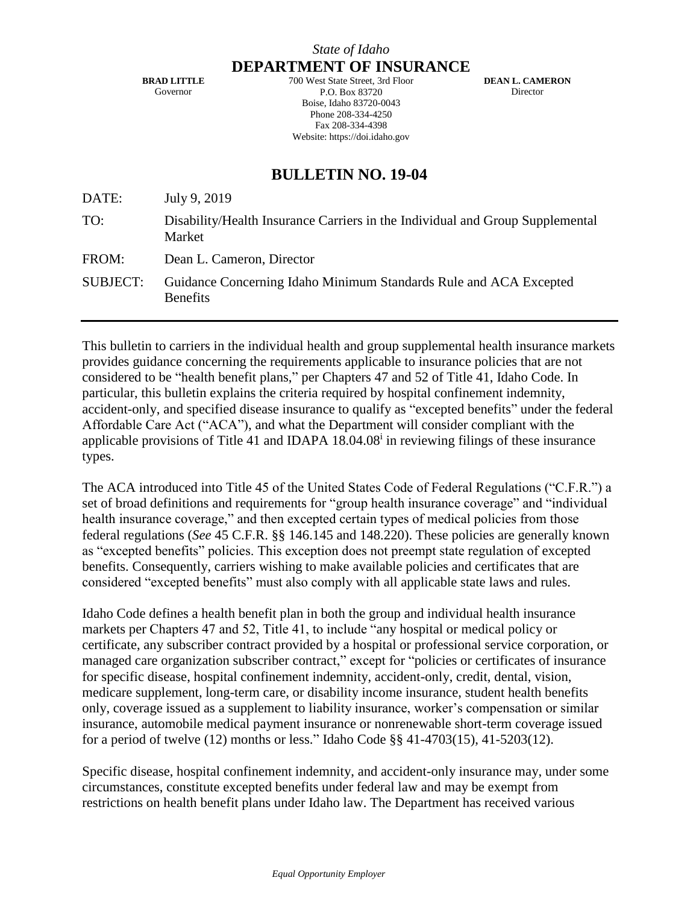**DEPARTMENT OF INSURANCE**

**BRAD LITTLE** Governor

700 West State Street, 3rd Floor P.O. Box 83720 Boise, Idaho 83720-0043 Phone 208-334-4250 Fax 208-334-4398 Website: https://doi.idaho.gov

**DEAN L. CAMERON Director** 

# **BULLETIN NO. 19-04**

| DATE:           | July 9, 2019                                                                            |
|-----------------|-----------------------------------------------------------------------------------------|
| TO:             | Disability/Health Insurance Carriers in the Individual and Group Supplemental<br>Market |
| FROM:           | Dean L. Cameron, Director                                                               |
| <b>SUBJECT:</b> | Guidance Concerning Idaho Minimum Standards Rule and ACA Excepted<br><b>Benefits</b>    |

This bulletin to carriers in the individual health and group supplemental health insurance markets provides guidance concerning the requirements applicable to insurance policies that are not considered to be "health benefit plans," per Chapters 47 and 52 of Title 41, Idaho Code. In particular, this bulletin explains the criteria required by hospital confinement indemnity, accident-only, and specified disease insurance to qualify as "excepted benefits" under the federal Affordable Care Act ("ACA"), and what the Department will consider compliant with the applicable provisions of Title 41 and IDAPA  $18.04.08<sup>i</sup>$  in reviewing filings of these insurance types.

The ACA introduced into Title 45 of the United States Code of Federal Regulations ("C.F.R.") a set of broad definitions and requirements for "group health insurance coverage" and "individual health insurance coverage," and then excepted certain types of medical policies from those federal regulations (*See* 45 C.F.R. §§ 146.145 and 148.220). These policies are generally known as "excepted benefits" policies. This exception does not preempt state regulation of excepted benefits. Consequently, carriers wishing to make available policies and certificates that are considered "excepted benefits" must also comply with all applicable state laws and rules.

Idaho Code defines a health benefit plan in both the group and individual health insurance markets per Chapters 47 and 52, Title 41, to include "any hospital or medical policy or certificate, any subscriber contract provided by a hospital or professional service corporation, or managed care organization subscriber contract," except for "policies or certificates of insurance for specific disease, hospital confinement indemnity, accident-only, credit, dental, vision, medicare supplement, long-term care, or disability income insurance, student health benefits only, coverage issued as a supplement to liability insurance, worker's compensation or similar insurance, automobile medical payment insurance or nonrenewable short-term coverage issued for a period of twelve (12) months or less." Idaho Code §§ 41-4703(15), 41-5203(12).

Specific disease, hospital confinement indemnity, and accident-only insurance may, under some circumstances, constitute excepted benefits under federal law and may be exempt from restrictions on health benefit plans under Idaho law. The Department has received various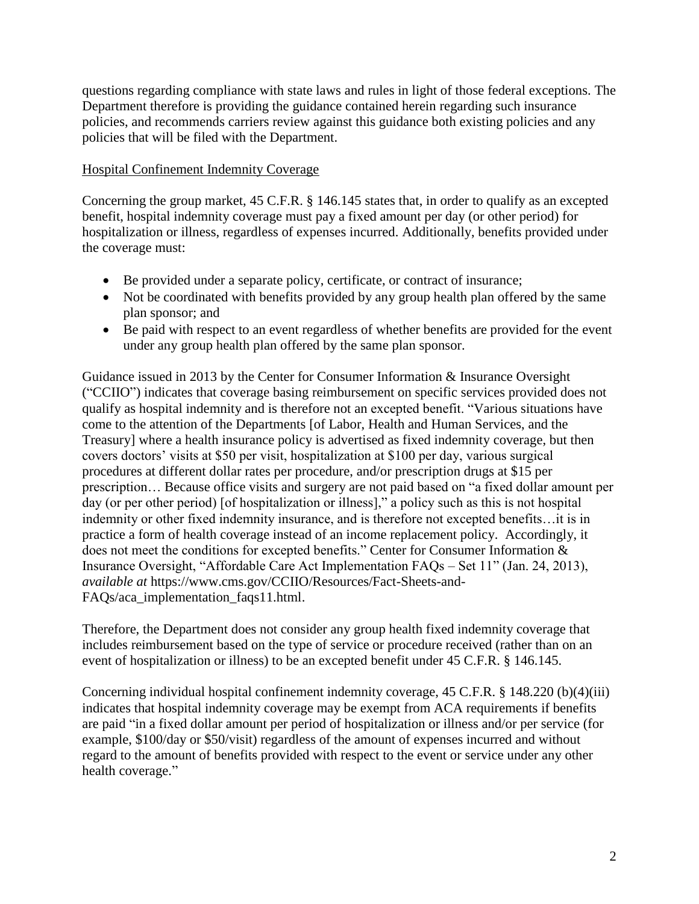questions regarding compliance with state laws and rules in light of those federal exceptions. The Department therefore is providing the guidance contained herein regarding such insurance policies, and recommends carriers review against this guidance both existing policies and any policies that will be filed with the Department.

# Hospital Confinement Indemnity Coverage

Concerning the group market, 45 C.F.R. § 146.145 states that, in order to qualify as an excepted benefit, hospital indemnity coverage must pay a fixed amount per day (or other period) for hospitalization or illness, regardless of expenses incurred. Additionally, benefits provided under the coverage must:

- Be provided under a separate policy, certificate, or contract of insurance;
- Not be coordinated with benefits provided by any group health plan offered by the same plan sponsor; and
- Be paid with respect to an event regardless of whether benefits are provided for the event under any group health plan offered by the same plan sponsor.

Guidance issued in 2013 by the Center for Consumer Information & Insurance Oversight ("CCIIO") indicates that coverage basing reimbursement on specific services provided does not qualify as hospital indemnity and is therefore not an excepted benefit. "Various situations have come to the attention of the Departments [of Labor, Health and Human Services, and the Treasury] where a health insurance policy is advertised as fixed indemnity coverage, but then covers doctors' visits at \$50 per visit, hospitalization at \$100 per day, various surgical procedures at different dollar rates per procedure, and/or prescription drugs at \$15 per prescription… Because office visits and surgery are not paid based on "a fixed dollar amount per day (or per other period) [of hospitalization or illness]," a policy such as this is not hospital indemnity or other fixed indemnity insurance, and is therefore not excepted benefits…it is in practice a form of health coverage instead of an income replacement policy. Accordingly, it does not meet the conditions for excepted benefits." Center for Consumer Information & Insurance Oversight, "Affordable Care Act Implementation FAQs – Set 11" (Jan. 24, 2013), *available at* https://www.cms.gov/CCIIO/Resources/Fact-Sheets-and-FAQs/aca\_implementation\_faqs11.html.

Therefore, the Department does not consider any group health fixed indemnity coverage that includes reimbursement based on the type of service or procedure received (rather than on an event of hospitalization or illness) to be an excepted benefit under 45 C.F.R. § 146.145.

Concerning individual hospital confinement indemnity coverage, 45 C.F.R. § 148.220 (b)(4)(iii) indicates that hospital indemnity coverage may be exempt from ACA requirements if benefits are paid "in a fixed dollar amount per period of hospitalization or illness and/or per service (for example, \$100/day or \$50/visit) regardless of the amount of expenses incurred and without regard to the amount of benefits provided with respect to the event or service under any other health coverage."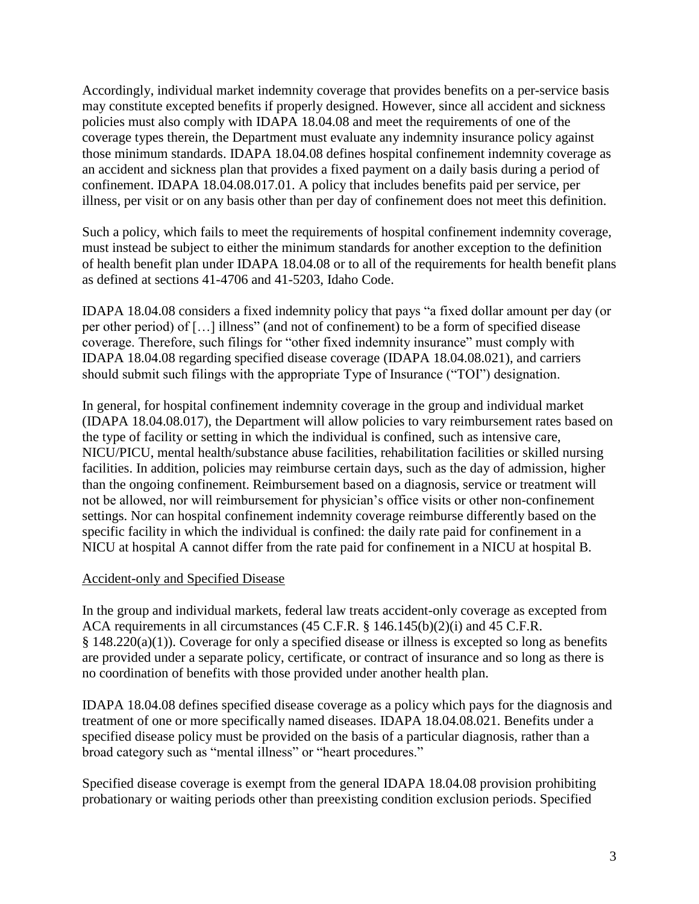Accordingly, individual market indemnity coverage that provides benefits on a per-service basis may constitute excepted benefits if properly designed. However, since all accident and sickness policies must also comply with IDAPA 18.04.08 and meet the requirements of one of the coverage types therein, the Department must evaluate any indemnity insurance policy against those minimum standards. IDAPA 18.04.08 defines hospital confinement indemnity coverage as an accident and sickness plan that provides a fixed payment on a daily basis during a period of confinement. IDAPA 18.04.08.017.01. A policy that includes benefits paid per service, per illness, per visit or on any basis other than per day of confinement does not meet this definition.

Such a policy, which fails to meet the requirements of hospital confinement indemnity coverage, must instead be subject to either the minimum standards for another exception to the definition of health benefit plan under IDAPA 18.04.08 or to all of the requirements for health benefit plans as defined at sections 41-4706 and 41-5203, Idaho Code.

IDAPA 18.04.08 considers a fixed indemnity policy that pays "a fixed dollar amount per day (or per other period) of […] illness" (and not of confinement) to be a form of specified disease coverage. Therefore, such filings for "other fixed indemnity insurance" must comply with IDAPA 18.04.08 regarding specified disease coverage (IDAPA 18.04.08.021), and carriers should submit such filings with the appropriate Type of Insurance ("TOI") designation.

In general, for hospital confinement indemnity coverage in the group and individual market (IDAPA 18.04.08.017), the Department will allow policies to vary reimbursement rates based on the type of facility or setting in which the individual is confined, such as intensive care, NICU/PICU, mental health/substance abuse facilities, rehabilitation facilities or skilled nursing facilities. In addition, policies may reimburse certain days, such as the day of admission, higher than the ongoing confinement. Reimbursement based on a diagnosis, service or treatment will not be allowed, nor will reimbursement for physician's office visits or other non-confinement settings. Nor can hospital confinement indemnity coverage reimburse differently based on the specific facility in which the individual is confined: the daily rate paid for confinement in a NICU at hospital A cannot differ from the rate paid for confinement in a NICU at hospital B.

#### Accident-only and Specified Disease

In the group and individual markets, federal law treats accident-only coverage as excepted from ACA requirements in all circumstances (45 C.F.R. § 146.145(b)(2)(i) and 45 C.F.R. § 148.220(a)(1)). Coverage for only a specified disease or illness is excepted so long as benefits are provided under a separate policy, certificate, or contract of insurance and so long as there is no coordination of benefits with those provided under another health plan.

IDAPA 18.04.08 defines specified disease coverage as a policy which pays for the diagnosis and treatment of one or more specifically named diseases. IDAPA 18.04.08.021. Benefits under a specified disease policy must be provided on the basis of a particular diagnosis, rather than a broad category such as "mental illness" or "heart procedures."

Specified disease coverage is exempt from the general IDAPA 18.04.08 provision prohibiting probationary or waiting periods other than preexisting condition exclusion periods. Specified